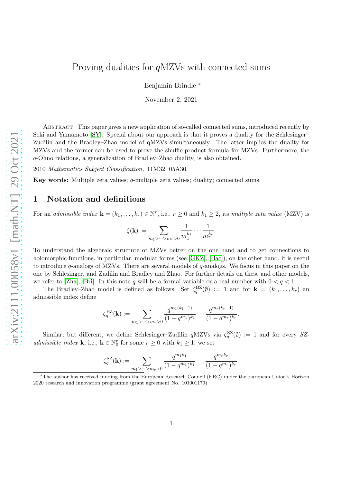Benjamin Brindle <sup>∗</sup>

November 2, 2021

Abstract. This paper gives a new application of so-called connected sums, introduced recently by Seki and Yamamoto [\[SY\]](#page-5-0). Special about our approach is that it proves a duality for the Schlesinger– Zudilin and the Bradley–Zhao model of qMZVs simultaneously. The latter implies the duality for MZVs and the former can be used to prove the shuffle product formula for MZVs. Furthermore, the q-Ohno relations, a generalization of Bradley–Zhao duality, is also obtained.

2010 Mathematics Subject Classification. 11M32, 05A30.

Key words: Multiple zeta values; q-multiple zeta values; duality; connected sums.

### 1 Notation and definitions

For an admissible index  $\mathbf{k} = (k_1, \ldots, k_r) \in \mathbb{N}^r$ , i.e.,  $r \geq 0$  and  $k_1 \geq 2$ , its multiple zeta value (MZV) is

$$
\zeta(\mathbf{k}):=\sum_{m_1>\cdots>m_r>0}\frac{1}{m_1^{k_1}}\cdots\frac{1}{m_r^{k_r}}.
$$

To understand the algebraic structure of MZVs better on the one hand and to get connections to holomorphic functions, in particular, modular forms (see [\[GKZ\]](#page-5-1), [\[Bac\]](#page-5-2)), on the other hand, it is useful to introduce  $q$ -analogs of MZVs. There are several models of  $q$ -analogs. We focus in this paper on the one by Schlesinger, and Zudilin and Bradley and Zhao. For further details on these and other models, we refer to [\[Zha\]](#page-5-3), [\[Bri\]](#page-5-4). In this note q will be a formal variable or a real number with  $0 < q < 1$ .

The Bradley–Zhao model is defined as follows: Set  $\zeta_q^{\text{BZ}}(\emptyset) := 1$  and for  $\mathbf{k} = (k_1, \ldots, k_r)$  and admissible index define

$$
\zeta_q^{\mathrm{BZ}}(\mathbf{k}) := \sum_{m_1 > \dots > m_r > 0} \frac{q^{m_1(k_1 - 1)}}{(1 - q^{m_1})^{k_1}} \cdots \frac{q^{m_r(k_r - 1)}}{(1 - q^{m_r})^{k_r}}.
$$

Similar, but different, we define Schlesinger–Zudilin  $qMZVs$  via  $\zeta_q^{SZ}(\emptyset) := 1$  and for every SZ*admissible index* **k**, i.e., **k**  $\in$   $\mathbb{N}_0^r$  for some  $r \geq 0$  with  $k_1 \geq 1$ , we set

$$
\zeta_q^{\rm SZ}(\mathbf{k}) := \sum_{m_1 > \dots > m_r > 0} \frac{q^{m_1 k_1}}{(1 - q^{m_1})^{k_1}} \cdots \frac{q^{m_r k_r}}{(1 - q^{m_r})^{k_r}}.
$$

<sup>∗</sup>The author has received funding from the European Research Council (ERC) under the European Union's Horizon 2020 research and innovation programme (grant agreement No. 101001179).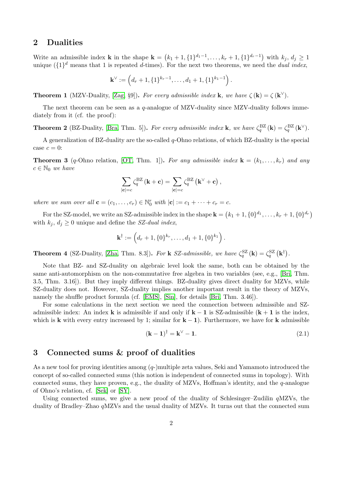## 2 Dualities

Write an admissible index **k** in the shape  $\mathbf{k} = (k_1 + 1, \{1\}^{d_1-1}, \ldots, k_r + 1, \{1\}^{d_r-1})$  with  $k_j, d_j \geq 1$ unique  $({1}^d$  means that 1 is repeated d-times). For the next two theorems, we need the dual index,

$$
\mathbf{k}^{\vee} := (d_r + 1, \{1\}^{k_r - 1}, \dots, d_1 + 1, \{1\}^{k_1 - 1}).
$$

<span id="page-1-0"></span>**Theorem 1** (MZV-Duality, [\[Zag,](#page-5-5) §9]). For every admissible index **k**, we have  $\zeta(\mathbf{k}) = \zeta(\mathbf{k}^{\vee})$ .

The next theorem can be seen as a q-analogue of MZV-duality since MZV-duality follows immediately from it (cf. the proof):

<span id="page-1-2"></span>**Theorem 2** (BZ-Duality, [\[Bra,](#page-5-6) Thm. 5]). For every admissible index **k**, we have  $\zeta_q^{\text{BZ}}(\mathbf{k}) = \zeta_q^{\text{BZ}}(\mathbf{k}^{\vee})$ .

A generalization of BZ-duality are the so-called q-Ohno relations, of which BZ-duality is the special case  $c = 0$ :

<span id="page-1-3"></span>**Theorem 3** (q-Ohno relation, [\[OT,](#page-5-7) Thm. 1]). For any admissible index  $\mathbf{k} = (k_1, \ldots, k_r)$  and any  $c \in \mathbb{N}_0$  we have

$$
\sum_{|\mathbf{c}|=c} \zeta_q^{\mathrm{BZ}} \left( \mathbf{k} + \mathbf{c} \right) = \sum_{|\mathbf{c}|=c} \zeta_q^{\mathrm{BZ}} \left( \mathbf{k}^{\vee} + \mathbf{c} \right),
$$

where we sum over all  $\mathbf{c} = (c_1, \ldots, c_r) \in \mathbb{N}_0^r$  with  $|\mathbf{c}| := c_1 + \cdots + c_r = c$ .

For the SZ-model, we write an SZ-admissible index in the shape  $\mathbf{k} = (k_1 + 1, \{0\}^{d_1}, \ldots, k_r + 1, \{0\}^{d_r})$ with  $k_j, d_j \geq 0$  unique and define the SZ-dual index,

$$
\mathbf{k}^{\dagger} := (d_r + 1, \{0\}^{k_r}, \dots, d_1 + 1, \{0\}^{k_1}).
$$

<span id="page-1-1"></span>**Theorem 4** (SZ-Duality, [\[Zha,](#page-5-3) Thm. 8.3]). For **k** SZ-admissible, we have  $\zeta_q^{\text{SZ}}(\mathbf{k}) = \zeta_q^{\text{SZ}}(\mathbf{k}^{\dagger})$ .

Note that BZ- and SZ-duality on algebraic level look the same, both can be obtained by the same anti-automorphism on the non-commutative free algebra in two variables (see, e.g., [\[Bri,](#page-5-4) Thm. 3.5, Thm. 3.16]). But they imply different things. BZ-duality gives direct duality for MZVs, while SZ-duality does not. However, SZ-duality implies another important result in the theory of MZVs, namely the shuffle product formula (cf. [\[EMS\]](#page-5-8), [\[Sin\]](#page-5-9), for details [\[Bri,](#page-5-4) Thm. 3.46]).

For some calculations in the next section we need the connection between admissible and SZadmissible index: An index k is admissible if and only if  $k - 1$  is SZ-admissible  $(k + 1)$  is the index, which is k with every entry increased by 1; similar for  $k - 1$ ). Furthermore, we have for k admissible

$$
(\mathbf{k} - \mathbf{1})^{\dagger} = \mathbf{k}^{\vee} - \mathbf{1}.\tag{2.1}
$$

### 3 Connected sums & proof of dualities

As a new tool for proving identities among  $(q-)$  multiple zeta values, Seki and Yamamoto introduced the concept of so-called connected sums (this notion is independent of connected sums in topology). With connected sums, they have proven, e.g., the duality of MZVs, Hoffman's identity, and the  $q$ -analogue of Ohno's relation, cf. [\[Sek\]](#page-5-10) or [\[SY\]](#page-5-0).

Using connected sums, we give a new proof of the duality of Schlesinger–Zudilin  $qMZVs$ , the duality of Bradley–Zhao qMZVs and the usual duality of MZVs. It turns out that the connected sum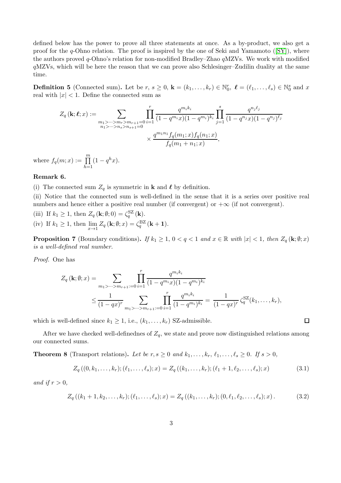defined below has the power to prove all three statements at once. As a by-product, we also get a proof for the q-Ohno relation. The proof is inspired by the one of Seki and Yamamoto ( $[SY]$ ), where the authors proved  $q$ -Ohno's relation for non-modified Bradley–Zhao  $q$ MZVs. We work with modified qMZVs, which will be here the reason that we can prove also Schlesinger–Zudilin duality at the same time.

**Definition 5** (Connected sum). Let be  $r, s \ge 0$ ,  $\mathbf{k} = (k_1, \ldots, k_r) \in \mathbb{N}_0^r$ ,  $\ell = (\ell_1, \ldots, \ell_s) \in \mathbb{N}_0^s$  and  $x$ real with  $|x| < 1$ . Define the connected sum as

$$
Z_q(\mathbf{k};\ell;x) := \sum_{\substack{m_1 > \dots > m_r > m_{r+1}=0 \\ n_1 > \dots > n_s > n_{s+1}=0}} \prod_{i=1}^r \frac{q^{m_i k_i}}{(1-q^{m_i}x)(1-q^{m_i})^{k_i}} \prod_{j=1}^s \frac{q^{n_j \ell_j}}{(1-q^{n_j}x)(1-q^{n_j})^{\ell_j}}
$$

$$
\times \frac{q^{m_1 n_1} f_q(m_1;x) f_q(n_1;x)}{f_q(m_1+n_1;x)},
$$

where  $f_q(m; x) := \prod^m$  $h=1$  $(1 - q^h x).$ 

#### <span id="page-2-0"></span>Remark 6.

(i) The connected sum  $Z_q$  is symmetric in **k** and  $\ell$  by definition.

(ii) Notice that the connected sum is well-defined in the sense that it is a series over positive real numbers and hence either a positive real number (if convergent) or  $+\infty$  (if not convergent).

(iii) If  $k_1 \geq 1$ , then  $Z_q(\mathbf{k}; \emptyset; 0) = \zeta_q^{\text{SZ}}(\mathbf{k})$ . (iv) If  $k_1 \geq 1$ , then  $\lim_{x \to 1} Z_q(\mathbf{k}; \emptyset; x) = \zeta_q^{\text{BZ}}(\mathbf{k} + 1)$ .

**Proposition 7** (Boundary conditions). If  $k_1 \geq 1$ ,  $0 < q < 1$  and  $x \in \mathbb{R}$  with  $|x| < 1$ , then  $Z_q(\mathbf{k}; \emptyset; x)$ is a well-defined real number.

Proof. One has

$$
Z_q(\mathbf{k};\emptyset;x) = \sum_{m_1 > \dots > m_{r+1}:=0} \prod_{i=1}^r \frac{q^{m_i k_i}}{(1-q^{m_i}x)(1-q^{m_i})^{k_i}}
$$
  
 
$$
\leq \frac{1}{(1-qx)^r} \sum_{m_1 > \dots > m_{r+1}:=0} \prod_{i=1}^r \frac{q^{m_i k_i}}{(1-q^{m_i})^{k_i}} = \frac{1}{(1-qx)^r} \zeta_q^{\text{SZ}}(k_1,\dots,k_r),
$$

which is well-defined since  $k_1 \geq 1$ , i.e.,  $(k_1, \ldots, k_r)$  SZ-admissible.

After we have checked well-definednes of  $Z_q$ , we state and prove now distinguished relations among our connected sums.

**Theorem 8** (Transport relations). Let be  $r, s \geq 0$  and  $k_1, \ldots, k_r, \ell_1, \ldots, \ell_s \geq 0$ . If  $s > 0$ ,

$$
Z_q((0, k_1, \ldots, k_r); (\ell_1, \ldots, \ell_s); x) = Z_q((k_1, \ldots, k_r); (\ell_1 + 1, \ell_2, \ldots, \ell_s); x)
$$
\n(3.1)

<span id="page-2-2"></span><span id="page-2-1"></span> $\Box$ 

and if  $r > 0$ ,

$$
Z_q((k_1+1,k_2,\ldots,k_r);(\ell_1,\ldots,\ell_s);x) = Z_q((k_1,\ldots,k_r);(0,\ell_1,\ell_2,\ldots,\ell_s);x).
$$
 (3.2)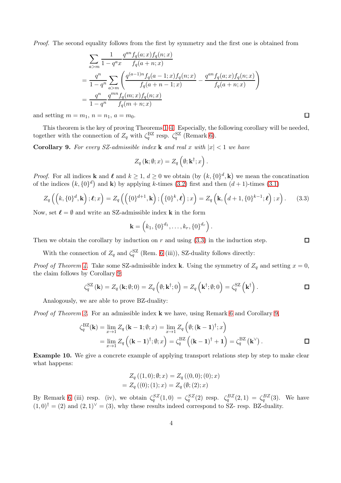Proof. The second equality follows from the first by symmetry and the first one is obtained from

$$
\sum_{a>m} \frac{1}{1 - q^a x} \frac{q^{an} f_q(a; x) f_q(n; x)}{f_q(a+n; x)}
$$
  
= 
$$
\frac{q^n}{1 - q^n} \sum_{a>m} \left( \frac{q^{(a-1)n} f_q(a-1; x) f_q(n; x)}{f_q(a+n-1; x)} - \frac{q^{an} f_q(a; x) f_q(n; x)}{f_q(a+n; x)} \right)
$$
  
= 
$$
\frac{q^n}{1 - q^n} \frac{q^{mn} f_q(m; x) f_q(n; x)}{f_q(m+n; x)}
$$

and setting  $m = m_1$ ,  $n = n_1$ ,  $a = m_0$ .

This theorem is the key of proving Theorems [1–](#page-1-0)[4.](#page-1-1) Especially, the following corollary will be needed, together with the connection of  $Z_q$  with  $\zeta_q^{\text{BZ}}$  resp.  $\zeta_q^{\text{SZ}}$  (Remark [6\)](#page-2-0).

<span id="page-3-1"></span>**Corollary 9.** For every SZ-admissible index **k** and real x with  $|x| < 1$  we have

$$
Z_q(\mathbf{k};\emptyset;x)=Z_q\left(\emptyset;\mathbf{k}^\dagger;x\right).
$$

*Proof.* For all indices **k** and  $\ell$  and  $k \geq 1$ ,  $d \geq 0$  we obtain (by  $(k, \{0\}^d, \mathbf{k})$ ) we mean the concatination of the indices  $(k, \{0\}^d)$  and **k**) by applying k-times [\(3.2\)](#page-2-1) first and then  $(d+1)$ -times [\(3.1\)](#page-2-2)

$$
Z_q\left(\left(k,\{0\}^d,\mathbf{k}\right);\boldsymbol{\ell};x\right)=Z_q\left(\left(\{0\}^{d+1},\mathbf{k}\right);\left(\{0\}^k,\boldsymbol{\ell}\right);x\right)=Z_q\left(\mathbf{k},\left(d+1,\{0\}^{k-1};\boldsymbol{\ell}\right);x\right).
$$
 (3.3)

Now, set  $\ell = \emptyset$  and write an SZ-admissible index **k** in the form

$$
\mathbf{k} = (k_1, \{0\}^{d_1}, \dots, k_r, \{0\}^{d_r}).
$$

Then we obtain the corollary by induction on  $r$  and using  $(3.3)$  in the induction step.

With the connection of  $Z_q$  and  $\zeta_q^{\text{SZ}}$  (Rem. [6](#page-2-0) (iii)), SZ-duality follows directly:

*Proof of Theorem [4.](#page-1-1)* Take some SZ-admissible index **k**. Using the symmetry of  $Z_q$  and setting  $x = 0$ , the claim follows by Corollary [9:](#page-3-1)

$$
\zeta_q^{\rm SZ}(\mathbf{k}) = Z_q(\mathbf{k}; \emptyset; 0) = Z_q\left(\emptyset; \mathbf{k}^\dagger; 0\right) = Z_q\left(\mathbf{k}^\dagger; \emptyset; 0\right) = \zeta_q^{\rm SZ}\left(\mathbf{k}^\dagger\right).
$$

Analogously, we are able to prove BZ-duality:

*Proof of Theorem [2.](#page-1-2)* For an admissible index  $\bf{k}$  we have, using Remark [6](#page-2-0) and Corollary [9,](#page-3-1)

$$
\zeta_q^{\mathrm{BZ}}(\mathbf{k}) = \lim_{x \to 1} Z_q \left( \mathbf{k} - \mathbf{1}; \emptyset; x \right) = \lim_{x \to 1} Z_q \left( \emptyset; (\mathbf{k} - \mathbf{1})^\dagger; x \right)
$$
  
= 
$$
\lim_{x \to 1} Z_q \left( (\mathbf{k} - \mathbf{1})^\dagger; \emptyset; x \right) = \zeta_q^{\mathrm{BZ}} \left( (\mathbf{k} - \mathbf{1})^\dagger + \mathbf{1} \right) = \zeta_q^{\mathrm{BZ}} \left( \mathbf{k}^\vee \right).
$$

**Example 10.** We give a concrete example of applying transport relations step by step to make clear what happens:

$$
Z_q((1,0);\emptyset;x) = Z_q((0,0);(0);x)
$$
  
=  $Z_q((0);(1);x) = Z_q(\emptyset;(2);x)$ 

By Remark [6](#page-2-0) (iii) resp. (iv), we obtain  $\zeta_q^{SZ}(1,0) = \zeta_q^{SZ}(2)$  resp.  $\zeta_q^{BZ}(2,1) = \zeta_q^{BZ}(3)$ . We have  $(1,0)^{\dagger} = (2)$  and  $(2,1)^{\vee} = (3)$ , why these results indeed correspond to SZ- resp. BZ-duality.

 $\Box$ 

<span id="page-3-0"></span> $\Box$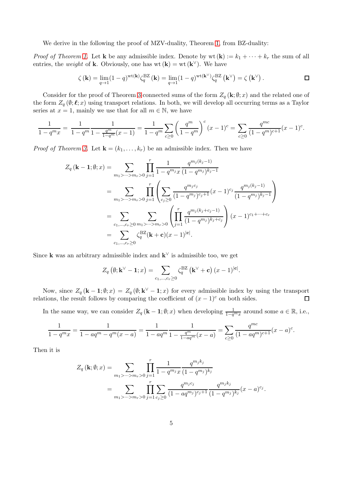We derive in the following the proof of MZV-duality, Theorem [1,](#page-1-0) from BZ-duality:

*Proof of Theorem [1.](#page-1-0)* Let **k** be any admissible index. Denote by  $wt(\mathbf{k}) := k_1 + \cdots + k_r$  the sum of all entries, the *weight* of **k**. Obviously, one has  $wt(\mathbf{k}) = wt(\mathbf{k}^{\vee})$ . We have

$$
\zeta(\mathbf{k}) = \lim_{q \to 1} (1 - q)^{\text{wt}(\mathbf{k})} \zeta_q^{\text{BZ}}(\mathbf{k}) = \lim_{q \to 1} (1 - q)^{\text{wt}(\mathbf{k}^{\vee})} \zeta_q^{\text{BZ}}(\mathbf{k}^{\vee}) = \zeta(\mathbf{k}^{\vee}).
$$

Consider for the proof of Theorem [3](#page-1-3) connected sums of the form  $Z_q(\mathbf{k};\theta;x)$  and the related one of the form  $Z_q(\emptyset; \ell; x)$  using transport relations. In both, we will develop all occurring terms as a Taylor series at  $x = 1$ , mainly we use that for all  $m \in \mathbb{N}$ , we have

$$
\frac{1}{1-q^m x} = \frac{1}{1-q^m} \frac{1}{1-\frac{q^m}{1-q^m} (x-1)} = \frac{1}{1-q^m} \sum_{c \ge 0} \left( \frac{q^m}{1-q^m} \right)^c (x-1)^c = \sum_{c \ge 0} \frac{q^{mc}}{(1-q^m)^{c+1}} (x-1)^c.
$$

*Proof of Theorem [3.](#page-1-3)* Let  $\mathbf{k} = (k_1, \ldots, k_r)$  be an admissible index. Then we have

$$
Z_q(\mathbf{k} - \mathbf{1}; \emptyset; x) = \sum_{m_1 > \dots > m_r > 0} \prod_{j=1}^r \frac{1}{1 - q^{m_j} x} \frac{q^{m_j(k_j - 1)}}{(1 - q^{m_j})^{k_j - 1}}
$$
  
\n
$$
= \sum_{m_1 > \dots > m_r > 0} \prod_{j=1}^r \left( \sum_{c_j \ge 0} \frac{q^{m_j c_j}}{(1 - q^{m_j})^{c_j + 1}} (x - 1)^{c_j} \frac{q^{m_j(k_j - 1)}}{(1 - q^{m_j})^{k_j - 1}} \right)
$$
  
\n
$$
= \sum_{c_1, \dots, c_r \ge 0} \sum_{m_1 > \dots > m_r > 0} \left( \prod_{j=1}^r \frac{q^{m_j(k_j + c_j - 1)}}{(1 - q^{m_j})^{k_j + c_j}} \right) (x - 1)^{c_1 + \dots + c_r}
$$
  
\n
$$
= \sum_{c_1, \dots, c_r \ge 0} \zeta_q^{BZ}(\mathbf{k} + \mathbf{c})(x - 1)^{|\mathbf{c}|}.
$$

Since **k** was an arbitrary admissible index and  $\mathbf{k}^{\vee}$  is admissible too, we get

$$
Z_q\left(\emptyset; \mathbf{k}^{\vee}-1; x\right) = \sum_{c_1,\dots,c_r \geq 0} \zeta_q^{\mathrm{BZ}}\left(\mathbf{k}^{\vee}+\mathbf{c}\right) (x-1)^{|\mathbf{c}|}.
$$

Now, since  $Z_q(\mathbf{k}-1;\emptyset;x) = Z_q(\emptyset;\mathbf{k}^{\vee}-1;x)$  for every admissible index by using the transport relations, the result follows by comparing the coefficient of  $(x - 1)^c$  on both sides.  $\Box$ 

In the same way, we can consider  $Z_q$  (**k** – 1;  $\emptyset$ ; x) when developing  $\frac{1}{1-q^m x}$  around some  $a \in \mathbb{R}$ , i.e.,

$$
\frac{1}{1-q^m x} = \frac{1}{1-aq^m - q^m(x-a)} = \frac{1}{1-aq^m} \frac{1}{1-\frac{q^m}{1-aq^m}(x-a)} = \sum_{c \ge 0} \frac{q^{mc}}{(1-aq^m)^{c+1}}(x-a)^c.
$$

Then it is

$$
Z_q (\mathbf{k}; \emptyset; x) = \sum_{m_1 > \dots > m_r > 0} \prod_{j=1}^r \frac{1}{1 - q^{m_j} x} \frac{q^{m_j k_j}}{(1 - q^{m_j})^{k_j}}
$$
  
= 
$$
\sum_{m_1 > \dots > m_r > 0} \prod_{j=1}^r \sum_{c_j \ge 0} \frac{q^{m_j c_j}}{(1 - a q^{m_j})^{c_j + 1}} \frac{q^{m_j k_j}}{(1 - q^{m_j})^{k_j}} (x - a)^{c_j}.
$$